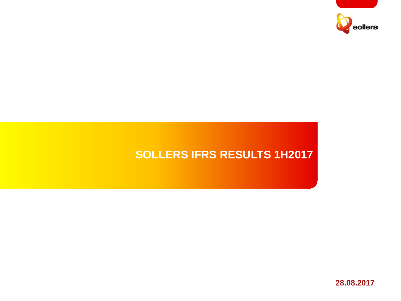

# **SOLLERS IFRS RESULTS 1H2017**

**28.08.2017**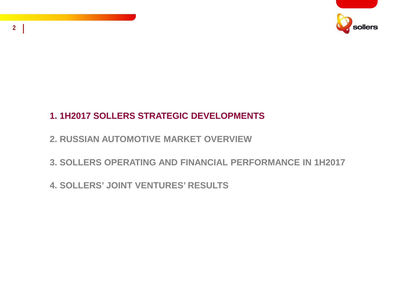

# **1. 1H2017 SOLLERS STRATEGIC DEVELOPMENTS**

- **2. RUSSIAN AUTOMOTIVE MARKET OVERVIEW**
- **3. SOLLERS OPERATING AND FINANCIAL PERFORMANCE IN 1H2017**
- **4. SOLLERS' JOINT VENTURES' RESULTS**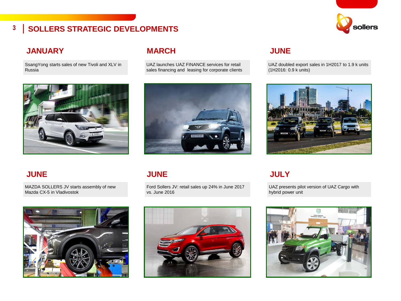# sollers

### **3 SOLLERS STRATEGIC DEVELOPMENTS**

### **JANUARY**

SsangYong starts sales of new Tivoli and XLV in Russia



### **MARCH**

UAZ launches UAZ FINANCE services for retail sales financing and leasing for corporate clients



### **JUNE**

MAZDA SOLLERS JV starts assembly of new Mazda CX-5 in Vladivostok



#### **JUNE**

Ford Sollers JV: retail sales up 24% in June 2017 vs. June 2016



### **JUNE**

UAZ doubled export sales in 1H2017 to 1.9 k units (1H2016: 0.9 k units)



### **JULY**

UAZ presents pilot version of UAZ Cargo with hybrid power unit

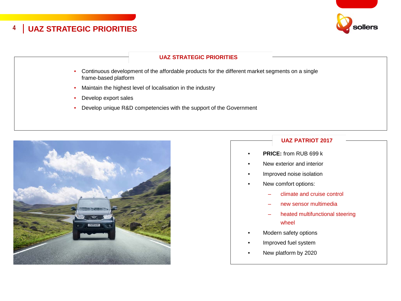



#### **UAZ STRATEGIC PRIORITIES**

- Continuous development of the affordable products for the different market segments on a single frame-based platform
- Maintain the highest level of localisation in the industry
- Develop export sales
- Develop unique R&D competencies with the support of the Government



#### **UAZ PATRIOT 2017**

- **PRICE:** from RUB 699 k
- New exterior and interior
- Improved noise isolation
- New comfort options:
	- climate and cruise control
	- new sensor multimedia
	- heated multifunctional steering wheel
- Modern safety options
- Improved fuel system
- New platform by 2020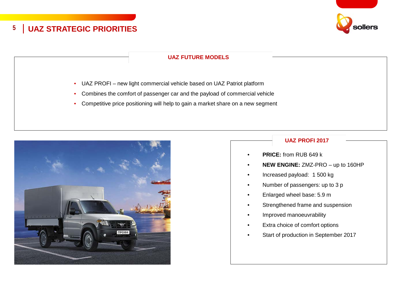

#### **UAZ FUTURE MODELS**

- UAZ PROFI new light commercial vehicle based on UAZ Patriot platform
- Combines the comfort of passenger car and the payload of commercial vehicle
- Competitive price positioning will help to gain a market share on a new segment



#### **UAZ PROFI 2017**

- **PRICE:** from RUB 649 k
- **NEW ENGINE:** ZMZ-PRO up to 160HP
- Increased payload: 1 500 kg
- Number of passengers: up to 3 p
- Enlarged wheel base: 5.9 m
- Strengthened frame and suspension
- Improved manoeuvrability
- Extra choice of comfort options
- Start of production in September 2017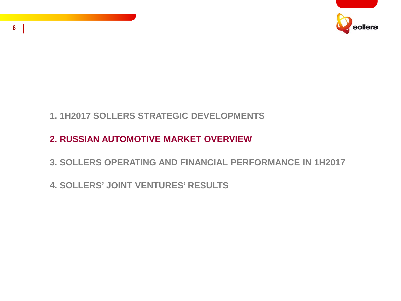

# **1. 1H2017 SOLLERS STRATEGIC DEVELOPMENTS**

# **2. RUSSIAN AUTOMOTIVE MARKET OVERVIEW**

- **3. SOLLERS OPERATING AND FINANCIAL PERFORMANCE IN 1H2017**
- **4. SOLLERS' JOINT VENTURES' RESULTS**

**6**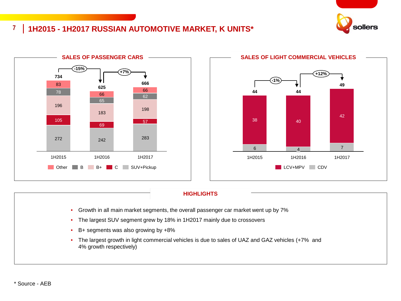

### **7 1H2015 - 1H2017 RUSSIAN AUTOMOTIVE MARKET, K UNITS\***





#### **HIGHLIGHTS**

- Growth in all main market segments, the overall passenger car market went up by 7%
- The largest SUV segment grew by 18% in 1H2017 mainly due to crossovers
- B+ segments was also growing by +8%
- The largest growth in light commercial vehicles is due to sales of UAZ and GAZ vehicles (+7% and 4% growth respectively)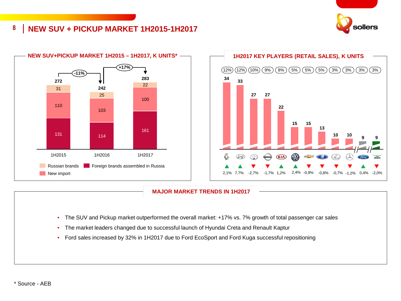

#### **8 NEW SUV + PICKUP MARKET 1H2015-1H2017**





#### **MAJOR MARKET TRENDS IN 1H2017**

- The SUV and Pickup market outperformed the overall market: +17% vs. 7% growth of total passenger car sales
- The market leaders changed due to successful launch of Hyundai Creta and Renault Kaptur
- Ford sales increased by 32% in 1H2017 due to Ford EcoSport and Ford Kuga successful repositioning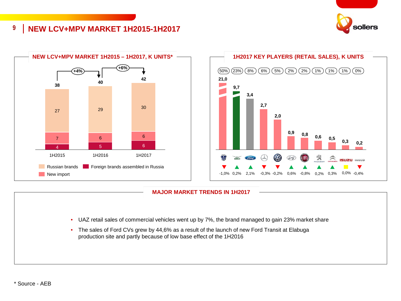

#### **9 NEW LCV+MPV MARKET 1H2015-1H2017**





#### **MAJOR MARKET TRENDS IN 1H2017**

- UAZ retail sales of commercial vehicles went up by 7%, the brand managed to gain 23% market share
- The sales of Ford CVs grew by 44,6% as a result of the launch of new Ford Transit at Elabuga production site and partly because of low base effect of the 1H2016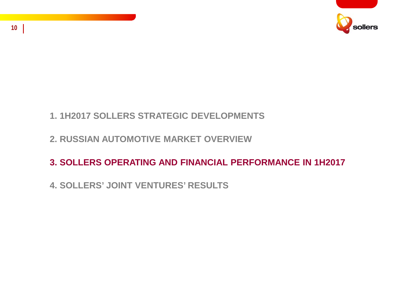

# **1. 1H2017 SOLLERS STRATEGIC DEVELOPMENTS**

### **2. RUSSIAN AUTOMOTIVE MARKET OVERVIEW**

# **3. SOLLERS OPERATING AND FINANCIAL PERFORMANCE IN 1H2017**

# **4. SOLLERS' JOINT VENTURES' RESULTS**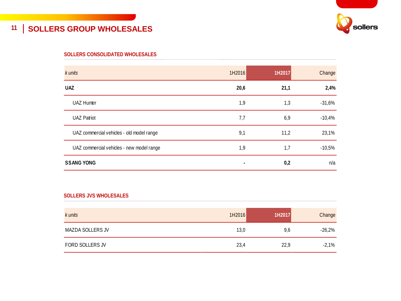# **11 SOLLERS GROUP WHOLESALES**



#### **SOLLERS CONSOLIDATED WHOLESALES**

| k units                                   | 1H2016 | 1H2017 | Change   |
|-------------------------------------------|--------|--------|----------|
| <b>UAZ</b>                                | 20,6   | 21,1   | 2,4%     |
| <b>UAZ Hunter</b>                         | 1,9    | 1,3    | $-31,6%$ |
| <b>UAZ Patriot</b>                        | 7,7    | 6,9    | $-10,4%$ |
| UAZ commercial vehicles - old model range | 9,1    | 11,2   | 23,1%    |
| UAZ commercial vehicles - new model range | 1,9    | 1,7    | $-10,5%$ |
| <b>SSANG YONG</b>                         |        | 0,2    | n/a      |

#### **SOLLERS JVS WHOLESALES**

| k units          | 1H2016 | 1H2017 | Change   |
|------------------|--------|--------|----------|
| MAZDA SOLLERS JV | 13,0   | 9,6    | $-26,2%$ |
| FORD SOLLERS JV  | 23,4   | 22,9   | $-2,1%$  |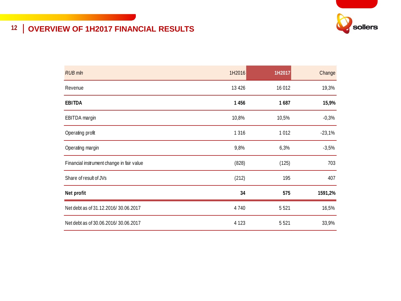

# **12 OVERVIEW OF 1H2017 FINANCIAL RESULTS**

| <b>RUB</b> mln                            | 1H2016  | 1H2017  | Change   |
|-------------------------------------------|---------|---------|----------|
| Revenue                                   | 13 4 26 | 16 012  | 19,3%    |
| <b>EBITDA</b>                             | 1456    | 1687    | 15,9%    |
| EBITDA margin                             | 10,8%   | 10,5%   | $-0,3%$  |
| Operating profit                          | 1 3 1 6 | 1012    | $-23,1%$ |
| Operating margin                          | 9,8%    | 6,3%    | $-3,5%$  |
| Financial instrument change in fair value | (828)   | (125)   | 703      |
| Share of result of JVs                    | (212)   | 195     | 407      |
| Net profit                                | 34      | 575     | 1591,2%  |
| Net debt as of 31.12.2016/30.06.2017      | 4 7 4 0 | 5521    | 16,5%    |
| Net debt as of 30.06.2016/30.06.2017      | 4 1 2 3 | 5 5 2 1 | 33,9%    |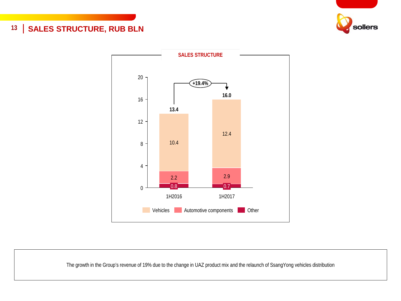### 13 | SALES STRUCTURE, RUB BLN





The growth in the Group's revenue of 19% due to the change in UAZ product mix and the relaunch of SsangYong vehicles distribution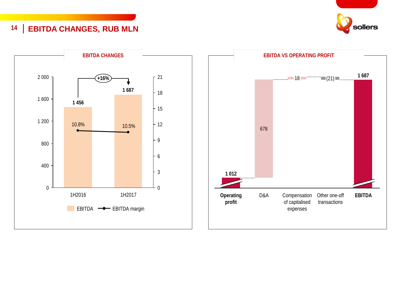### **14 EBITDA CHANGES, RUB MLN**





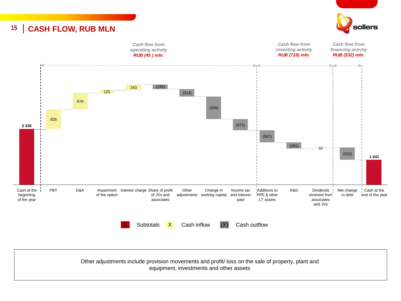### **15 CASH FLOW, RUB MLN**





Other adjustments include provision movements and profit/ loss on the sale of property, plant and equipment, investments and other assets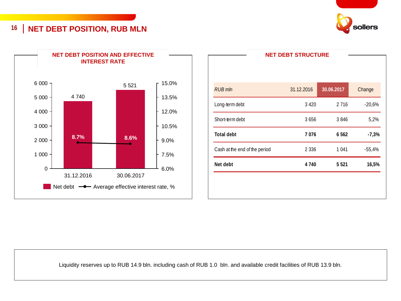**16 NET DEBT POSITION, RUB MLN**





|                               | <b>NET DEBT STRUCTURE</b> |            |          |
|-------------------------------|---------------------------|------------|----------|
|                               |                           |            |          |
|                               |                           |            |          |
| <b>RUB</b> mln                | 31.12.2016                | 30.06.2017 | Change   |
| Long-term debt                | 3 4 2 0                   | 2 7 1 6    | $-20,6%$ |
| Short-term debt               | 3656                      | 3846       | 5,2%     |
| <b>Total debt</b>             | 7076                      | 6562       | $-7,3%$  |
| Cash at the end of the period | 2 3 3 6                   | 1041       | $-55,4%$ |
| Net debt                      | 4740                      | 5 5 2 1    | 16,5%    |
|                               |                           |            |          |
|                               |                           |            |          |
|                               |                           |            |          |

Liquidity reserves up to RUB 14.9 bln. including cash of RUB 1.0 bln. and available credit facilities of RUB 13.9 bln.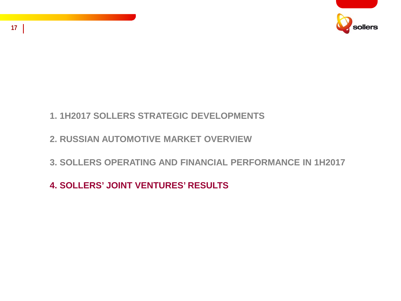

# **1. 1H2017 SOLLERS STRATEGIC DEVELOPMENTS**

# **2. RUSSIAN AUTOMOTIVE MARKET OVERVIEW**

# **3. SOLLERS OPERATING AND FINANCIAL PERFORMANCE IN 1H2017**

# **4. SOLLERS' JOINT VENTURES' RESULTS**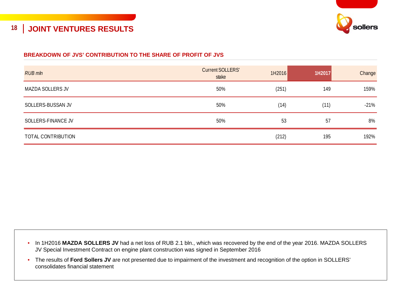

### **18 JOINT VENTURES RESULTS**

#### **BREAKDOWN OF JVS' CONTRIBUTION TO THE SHARE OF PROFIT OF JVS**

| <b>RUB</b> mln     | <b>Current SOLLERS'</b><br>stake | 1H2016 | 1H2017 | Change |
|--------------------|----------------------------------|--------|--------|--------|
| MAZDA SOLLERS JV   | 50%                              | (251)  | 149    | 159%   |
| SOLLERS-BUSSAN JV  | 50%                              | (14)   | (11)   | $-21%$ |
| SOLLERS-FINANCE JV | 50%                              | 53     | 57     | 8%     |
| TOTAL CONTRIBUTION |                                  | (212)  | 195    | 192%   |

- In 1H2016 **MAZDA SOLLERS JV** had a net loss of RUB 2.1 bln., which was recovered by the end of the year 2016. MAZDA SOLLERS JV Special Investment Contract on engine plant construction was signed in September 2016
- The results of **Ford Sollers JV** are not presented due to impairment of the investment and recognition of the option in SOLLERS' consolidates financial statement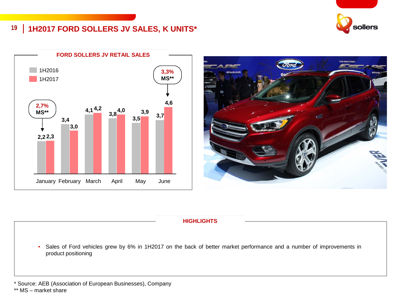# sollers

### **19 1H2017 FORD SOLLERS JV SALES, K UNITS\***





#### **HIGHLIGHTS**

• Sales of Ford vehicles grew by 6% in 1H2017 on the back of better market performance and a number of improvements in product positioning

\* Source: AEB (Association of European Businesses), Company

\*\* MS – market share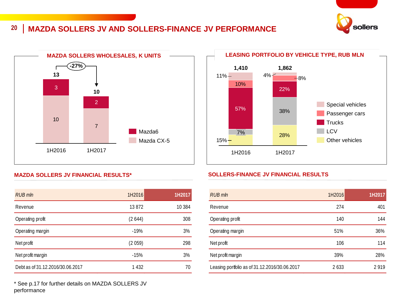### **20 MAZDA SOLLERS JV AND SOLLERS-FINANCE JV PERFORMANCE**





#### **MAZDA SOLLERS JV FINANCIAL RESULTS\***

| <b>RUB</b> mln                   | 1H2016 | 1H2017 |
|----------------------------------|--------|--------|
| Revenue                          | 13872  | 10 384 |
| Operating profit                 | (2644) | 308    |
| Operating margin                 | $-19%$ | 3%     |
| Net profit                       | (2059) | 298    |
| Net profit margin                | $-15%$ | 3%     |
| Debt as of 31.12.2016/30.06.2017 | 1432   | 70     |

\* See p.17 for further details on MAZDA SOLLERS JV performance



#### **SOLLERS-FINANCE JV FINANCIAL RESULTS**

| RUB mln                                       | 1H2016 | 1H2017 |
|-----------------------------------------------|--------|--------|
| Revenue                                       | 274    | 401    |
| Operating profit                              | 140    | 144    |
| Operating margin                              | 51%    | 36%    |
| Net profit                                    | 106    | 114    |
| Net profit margin                             | 39%    | 28%    |
| Leasing portfolio as of 31.12.2016/30.06.2017 | 2633   | 2919   |